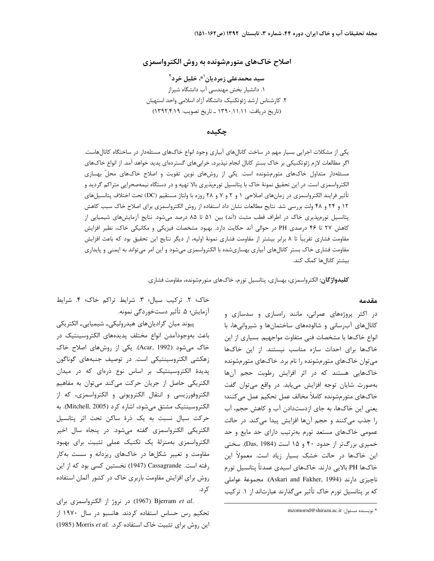# اصلاح خاکهای متورمشونده به روش الکترواسمزی

سید محمدعلی زمردیان<sup>(\*</sup>، خلیل خرد<sup>۲</sup> ١. دانشيار بخش مهندسي آب دانشگاه شيراز ٢. كارشناس ارشد ژئوتكنيك دانشگاه آزاد اسلامي واحد استهبان (تاریخ دریافت: ۱۲۹۰/۱۱/۱۱ \_ تاریخ تصویب: ۱۳۹۲/۴/۱۹)

### چکیده

یکی از مشکلات اجرایی بسیار مهم در ساخت کانالهای آبیاری وجود انواع خاکهای مسئلهدار در ساختگاه کانالهاست. اگر مطالعات لازم ژئوتکنیکی بر خاک بستر کانال انجام نپذیرد، خرابیهای گستردهای پدید خواهد آمد. از انواع خاکهای مسئلهدار متداول خاکـهای متورمشونده است. یکی از روشهای نوین تقویت و اصلاح خاکـهای محلْ بهسازی الکترواسمزی است. در این تحقیق نمونهٔ خاک با پتانسیل تورمپذیری بالا تهیه و در دستگاه نیمهصحرایی متراکم گردید و تأثير فرايند الكترواسمزي در زمانهاي اصلاحي ١ و ٢ و ٧ و ٢٨ روزه با ولتاژ مستقيم (DC) تحت اختلاف پتانسيلهاي ۱۲ و ۲۴ و ۴۸ ولت بررسی شد. نتایج مطالعات نشان داد استفاده از روش الکترواسمزی برای اصلاح خاک سبب کاهش پتانسیل تورمپذیری خاک در اطراف قطب مثبت (آند) بین ۵۱ تا ۸۵ درصد میشود. نتایج آزمایشهای شیمیایی از کاهش ۲۷ تا ۴۶ درصدی PH در حوالی آند حکایت دارد. بهبود مشخصات فیزیکی و مکانیکی خاک، نظیر افزایش مقاومت فشاری تقریباً تا ۸ برابر بیشتر از مقاومت فشاری نمونهٔ اولیه، از دیگر نتایج این تحقیق بود که باعث افزایش مقاومت فشاری خاک بستر کانالهای آبیاری بهسازیشده با الکترواسمزی می شود و این امر می تواند به ایمنی و پایداری بیشتر کانالها کمک کند.

**کلیدواژگان:** الکترواسمزی، بهسازی، پتانسیل تورم، خاکهای متورمشونده، مقاومت فشاری.

#### مقدمه

در اکثر پروژههای عمرانی، مانند راهسازی و سدسازی و کانال های آب رسانی و شالودههای ساختمانها و شیروانی ها، با انواع خاکها با مشخصات فنی متفاوت مواجهیم. بسیاری از این خاکها برای احداث سازه مناسب نیستند. از این خاکها می توان خاکهای متورمشونده را نام برد. خاکهای متورمشونده خاکهایی هستند که در اثر افزایش رطوبت حجم آنها بهصورت شایان توجه افزایش می یابد. در واقع می توان گفت خاکـهای متورمشونده کاملاً مخالف عمل تحکیم عمل می کنند؛ یعنی این خاکها، به جای ازدستدادن آب و کاهش حجم، آب را جذب میکنند و حجم آنها افزایش پیدا میکند. در حالت عمومی خاکهای مستعد تورم بهترتیب دارای حد مایع و حد خمیری بزرگتر از حدود ۴۰ و ۱۵ است (Das, 1984). سختی این خاکها در حالت خشک بسیار زیاد است. معمولاً این خاکھا PH بالایی دارند. خاکھای اسیدی عمدتاً پتانسیل تورم ناچيزي دارند (Askari and Fakher, 1994). مجموعهٔ عواملي که بر پتانسیل تورم خاک تأثیر می¢ذارند عبارتاند از ۱. ترکیب

خاک؛ ٢. ترکیب سیال؛ ٣. شرایط تراکم خاک؛ ۴. شرایط آزمايش؛ ۵. تأثير دستخوردگي نمونه.

پیوند میان گرادیانهای هیدرولیکی۔ شیمیایی۔ الکتریکی باعث بەوجودآمدن انواع مختلف يديدەهاى الكتروسينتيك در خاک میشود (Acar, 1992). یکی از روشهای اصلاح خاک زهكشي الكتروسينتيكي است. در توصيف جنبههاي گوناگون پدیدهٔ الکتروسینتیک بر اساس نوع ذرهای که در میدان الكتريكي حاصل از جريان حركت مي كند مي توان به مفاهيم الکتروفورزیسی و انتقال الکترویونی و الکترواسمزی، که از الكتروسينتيك مشتق مىشود، اشاره كرد (Mitchell, 2005). به حركت سيال نسبت به يک ذرهٔ ساكن تحت اثر پتانسيل الکتریکی الکترواسمزی گفته میشود. در پنجاه سال اخیر الکترواسمزی بهمنزلهٔ یک تکنیک عملی تثبیت برای بهبود مقاومت و تغییر شکلها در خاکهای ریزدانه و سست بهکار رفته است. Cassagrande (1947) نخستین کسی بود که از این روش برای افزایش مقاومت باربری خاک در کشور آلمان استفاده کر د.

.Bjerram et al (1967) در نروژ از الکترواسمزی برای تحکیم رس حساس استفاده کردند. هانسبو در سال ۱۹۷۰ از این روش برای تثبیت خاک استفاده کرد. Morris et al. (1985)

<sup>\*</sup> نويسنده مسئول: mzomorod@shirazu.ac.ir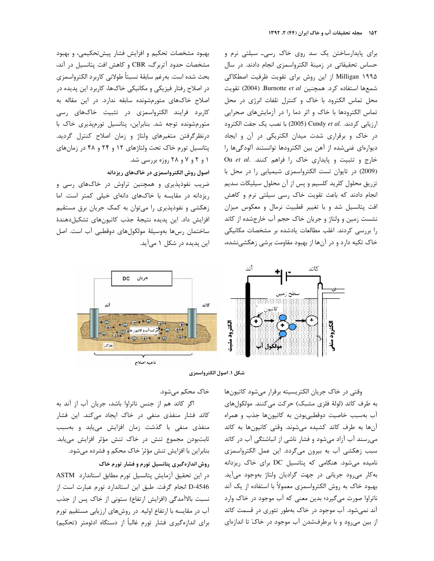برای پایدارساختن یک سد روی خاک رسی۔ سیلتی نرم و حساس تحقیقاتی در زمینهٔ الکترواسمزی انجام دادند. در سال Milligan ۱۹۹۵ از این روش برای تقویت ظرفیت اصطکاکی شمعها استفاده كرد. همچنين Burnotte et al. (2004) تقويت محل تماس الکترود با خاک و کنترل تلفات انرژی در محل تماس الکترودها با خاک و اثر دما را در آزمایشهای صحرایی ارزيابي كردند. .Cundy et al (2005) با نصب يك جفت الكترود در خاک و برقراری شدت میدان الکتریکی در آن و ایجاد ديوارهاى غنى شده از آهن بين الكترودها توانستند آلودگىها را Ou et al. كنند. Ou et al. كنند. (2009) در تایوان تست الکترواسمزی شیمیایی را در محل با تزریق محلول کلرید کلسیم و پس از آن محلول سیلیکات سدیم انجام دادند که باعث تقویت خاک رسی سیلتی نرم و کاهش افت پتانسیل شد و با تغییر قطبیت نرمال و معکوس میزان نشست زمین و ولتاژ و جریان خاک حجم آب خارجشده از کاتد را بررسی کردند. اغلب مطالعات یادشده بر مشخصات مکانیکی خاک تکیه دارد و در آنها از بهبود مقاومت برشی زهکشینشده،

بهبود مشخصات تحکیم و افزایش فشار پیشتحکیمی، و بهبود مشخصات حدود آتربرگ، CBR و كاهش افت پتانسيل در آند، بحث شده است. بهرغم سابقهٔ نسبتاً طولانی کاربرد الکترواسمزی در اصلاح رفتار فیزیکی و مکانیکی خاکها، کاربرد این پدیده در اصلاح خاکهای متورمشونده سابقه ندارد. در این مقاله به کاربرد فرایند الکترواسمزی در تثبیت خاکهای رسی متورمشونده توجه شد. بنابراین، پتانسیل تورمپذیری خاک با درنظرگرفتن متغيرهاى ولتاژ و زمان اصلاح كنترل گرديد. پتانسیل تورم خاک تحت ولتاژهای ۱۲ و ۲۴ و ۴۸ در زمانهای ۱ و ۲ و ۷ و ۲۸ روزه بررسی شد.

# اصول روش الكترواسمزي در خاك هاي ريزدانه

ضریب نفوذپذیری و همچنین تراوش در خاکهای رسی و ریزدانه در مقایسه با خاکهای دانهای خیلی کمتر است. اما زهکشی و نفوذپذیری را میتوان به کمک جریان برق مستقیم افزایش داد. این پدیده نتیجهٔ جذب کاتیونهای تشکیلدهندهٔ ساختمان رسها بەوسیلهٔ مولکولهای دوقطبی آب است. اصل این پدیده در شکل ۱ میآید.





وقتی در خاک جریان الکتریسیته برقرار می شود کاتیون ها به طرف كاتد (لولهٔ فلزي مشبک) حركت مي كنند. مولكول هاي آب بهسبب خاصیت دوقطبی بودن به کاتیونها جذب و همراه آنها به طرف کاتد کشیده می شوند. وقتی کاتیونها به کاتد می رسند آب آزاد می شود و فشار ناشی از انباشتگی آب در کاتد سبب زهكشي آب به بيرون مي گردد. اين عمل الكترواسمزى نامیده میشود. هنگامی که پتانسیل DC برای خاک ریزدانه به کار می رود جریانی در جهت گرادیان ولتاژ بهوجود می آید. بهبود خاک به روش الکترواسمزی معمولاً با استفاده از یک آند ناتراوا صورت میگیرد؛ بدین معنی که آب موجود در خاک وارد آند نمی شود. آب موجود در خاک بهطور تئوری در قسمت کاتد از بین میرود و با برطرفشدن آب موجود در خاک تا اندازهای

خاک محکم می شود.

اگر كاتد هم از جنس ناتراوا باشد، جريان آب از آند به کاتد فشار منفذی منفی در خاک ایجاد میکند. این فشار منفذی منفی با گذشت زمان افزایش می یابد و بهسبب ثابتبودن مجموع تنش در خاک تنش مؤثر افزایش مییابد. بنابراین با افزایش تنش مؤثرْ خاک محکم و فشرده میشود.

# روش اندازهگیری پتانسیل تورم و فشار تورم خاک

در این تحقیق آزمایش پتانسیل تورم مطابق استاندارد ASTM D-4546 انجام گرفت. طبق این استاندارد تورم عبارت است از نسبت بالاآمدگی (افزایش ارتفاع) ستونی از خاک پس از جذب آب در مقایسه با ارتفاع اولیه. در روشهای ارزیابی مستقیم تورم برای اندازهگیری فشار تورم غالباً از دستگاه ادئومتر (تحکیم)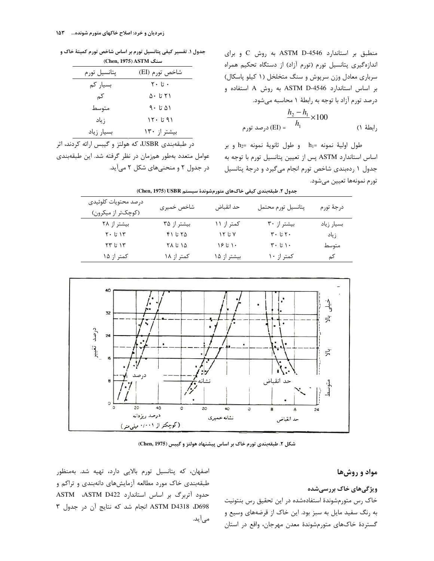منطبق بر استاندارد ASTM D-4546 به روش C وبرای اندازهگیری پتانسیل تورم (تورم آزاد) از دستگاه تحکیم همراه سرباری معادل وزن سرپوش و سنگ متخلخل (١ کیلو پاسکال) بر اساس استاندارد ASTM D-4546 به روش A استفاده و درصد تورم آزاد با توجه به رابطهٔ ۱ محاسبه میشود.

$$
\frac{h_2 - h_1}{h_1} \times 100
$$
\n[El] =  $\frac{h_2 - h_1}{h_1} \times 100$  (1)

 $h_2$ = طول اولية نمونه = $h_1$  و طول ثانوية نمونه = $h_2$  و بر اساس استاندارد ASTM پس از تعیین پتانسیل تورم با توجه به جدول ١ ردهبندى شاخص تورم انجام مى گيرد و درجة پتانسيل تورم نمونهها تعيين ميشود.

جدول ۱. تفسیر کیفی پتانسیل تورم بر اساس شاخص تورم کمیتهٔ خاک و (Chen, 1975) ASTM

| پتانسيل تورم | شاخص تورم (EI)                     |
|--------------|------------------------------------|
| بسیار کم     | $\mathbf{y} \cdot \mathbf{r}$ ۰ تا |
| کم           | ۲۱ تا ۵۰                           |
| متوسط        | ۵۱ تا ۹۰                           |
| زياد         | ۹۱ تا ۱۲۰                          |
| بسيار زياد   | بیشتر از ١٣٠                       |

در طبقهبندی USBR، که هولتز و گیبس ارائه کردند، اثر عوامل متعدد بهطور همزمان در نظر گرفته شد. این طبقهبندی در جدول ۲ و منحنیهای شکل ۲ میآید.

| جدول ٢. طبقەبندى كيفى خاڭھاي متورمشوندة سيستم Chen, 1975) (2018) |             |             |                                  |            |  |  |  |  |  |
|------------------------------------------------------------------|-------------|-------------|----------------------------------|------------|--|--|--|--|--|
| درصد محتويات كلوئيدى                                             | شاخص خميرى  | حد انقباض   | پتانسيل تورم محتمل               | درجهٔ تورم |  |  |  |  |  |
| (کوچکتر از میکرون)                                               |             |             |                                  |            |  |  |  |  |  |
| بیشتر از ۲۸                                                      | بیشتر از ۳۵ | کمتر از ۱۱  | بیشتر از ۳۰                      | بسيار زياد |  |  |  |  |  |
| $Y \cdot 5 Y$                                                    | ۴۱ تا ۴۱    | ۲ تا ۱۲     | $\mathbf{y}$ ۰ تا ۲۰             | زياد       |  |  |  |  |  |
| ۱۳ تا ۲۳                                                         | ۱۵ تا ۲۸    | ۱۶ تا ۱۶    | $\mathbf{y} \cdot \mathbf{r}$ ۱. | متوسط      |  |  |  |  |  |
| کمتر از ۱۵                                                       | کمتر از ۱۸  | بیشتر از ۱۵ | کمتر از ۱۰                       | کم         |  |  |  |  |  |
|                                                                  |             |             |                                  |            |  |  |  |  |  |



شکل ۲. طبقهبندی تورم خاک بر اساس پیشنهاد هولتز و گیبس (Chen, 1975)

### مواد و روشها

## ویژگیهای خاک بررسیشده

خاک رس متورمشوندهٔ استفادهشده در این تحقیق رس بنتونیت به رنگ سفید مایل به سبز بود. این خاک از قرضههای وسیع و گستردهٔ خاکهای متورمشوندهٔ معدن مهرجان، واقع در استان

اصفهان، که پتانسیل تورم بالایی دارد، تهیه شد. بهمنظور طبقهبندی خاک مورد مطالعه آزمایشهای دانهبندی و تراکم و حدود آتربرگ بر اساس استاندارد ASTM D422 D698 ASTM D4318 انجام شد که نتایج آن در جدول ٣ می آید.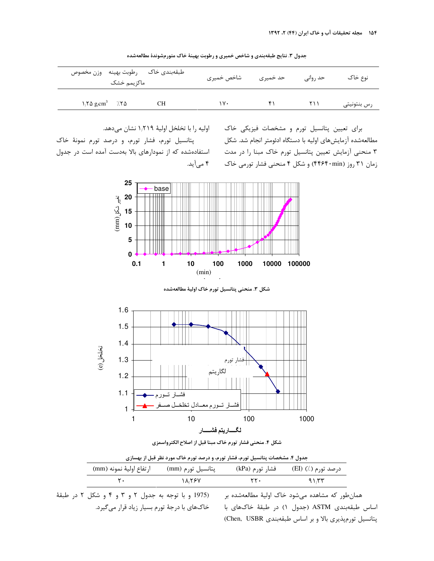|                                           | طبقهبندي خاك رطوبت بهينه وزن مخصوص<br>ماكزيمم خشک | شاخص خميرى | حد خمیری | حد روانی | نوع خاک     |
|-------------------------------------------|---------------------------------------------------|------------|----------|----------|-------------|
| $1.7\Delta$ g/cm <sup>3</sup> $7.7\Delta$ | CН                                                | ۱۷۰        |          | ۲۱۱      | رس بنتونيتي |

جدول ۳. نتایج طبقهبندی و شاخص خمیری و رطوبت بهینهٔ خاک متورمشوندهٔ مطالعهشده

اوليه را با تخلخل اوليهٔ ۱٬۲۱۹ نشان مىدهد.

پتانسیل تورم، فشار تورم، و درصد تورم نمونهٔ خاک استفادهشده که از نمودارهای بالا بهدست آمده است در جدول ۴ میآید. برای تعیین پتانسیل تورم و مشخصات فیزیکی خاک مطالعهشده آزمایشهای اولیه با دستگاه ادئومتر انجام شد. شکل ۳ منحنی آزمایش تعیین پتانسیل تورم خاک مبنا را در مدت زمان ۳۱ روز (۴۴۶۴۰min) و شکل ۴ منحنی فشار تورمی خاک



شكل ٣. منحنى پتانسيل تورم خاک اوليهٔ مطالعهشده





| جدول ۴. مشخصات پتانسیل تورم، فشار تورم، و درصد تورم خاک مورد نظر قبل از بهسازی |                   |                 |                    |  |  |  |  |  |  |
|--------------------------------------------------------------------------------|-------------------|-----------------|--------------------|--|--|--|--|--|--|
| ار تفاع اوليهٔ نمونه (mm)                                                      | پتانسیل تورم (mm) | فشار تورم (kPa) | درصد تورم (٪) (EI) |  |  |  |  |  |  |
| т.                                                                             | 18887             | ۲۲۰             | ۹۱،۳۳              |  |  |  |  |  |  |

(1975 و با توجه به جدول ۲ و ۳ و ۴ و شکل ۲ در طبقهٔ خاکهای با درجهٔ تورم بسیار زیاد قرار می گیرد.

همانطور که مشاهده میشود خاک اولیهٔ مطالعهشده بر اساس طبقهبندی ASTM (جدول ۱) در طبقهٔ خاکهای با پتانسیل تورمپذیری بالا و بر اساس طبقهبندی Chen, USBR)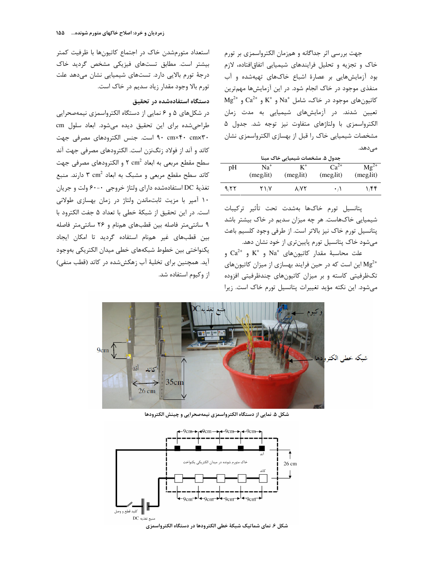جهت بررسی اثر جداگانه و همزمان الکترواسمزی بر تورم خاک و تجزیه و تحلیل فرایندهای شیمیایی اتفاقافتاده، لازم بود آزمایش هایی بر عصارهٔ اشباع خاکهای تهیهشده و آب منفذی موجود در خاک انجام شود. در این آزمایشها مهمترین  $\text{Mg}^{2+}$  و  $\text{Ca}^{2+}$  و  $\text{K}^+$  و  $\text{Na}^+$  و  $\text{Na}^+$  و  $\text{Ca}^{2+}$  و  $\text{Na}^+$ تعیین شدند. در آزمایشهای شیمیایی به مدت زمان الكترواسمزي با ولتاژهاي متفاوت نيز توجه شد. جدول ۵ مشخصات شیمیایی خاک را قبل از بهسازی الکترواسمزی نشان مى دھد.

مدول ۵ مشخصات شیمیایی خاک مینا

|      |                 | .         | - -                  |           |
|------|-----------------|-----------|----------------------|-----------|
| pH   | Na <sup>+</sup> |           | $Ca^{2+}$            | $Mg^{2+}$ |
|      | (meg/lit)       | (meg/lit) | (meg/lit)            | (meg/lit) |
| 9.77 | ۲۱،۷            | ۸٬۷۲      | $\cdot$ <sub>i</sub> | ۱٬۴۴      |

يتانسيل تورم خاكها بهشدت تحت تأثير تركيبات شیمیایی خاکھاست. هر چه میزان سدیم در خاک بیشتر باشد یتانسپل تورم خاک نیز بالاتر است. از طرفی وجود کلسیم باعث میشود خاک پتانسیل تورم پایینتری از خود نشان دهد.

و  $\mathrm{Ca}^{2+}$  و  $\mathrm{K}^+$  و  $\mathrm{Na}^+$  و  $\mathrm{Ca}^{2+}$  و  $\mathrm{Ca}^{2+}$  و این است که در حین فرایند بهسازی از میزان کاتیونهای Mg $^{2+}$ تکظرفیتی کاسته و بر میزان کاتیونهای چندظرفیتی افزوده می شود. این نکته مؤید تغییرات پتانسیل تورم خاک است. زیرا

استعداد متورمشدن خاک در اجتماع کاتیونها با ظرفیت کمتر بیشتر است. مطابق تستهای فیزیکی مشخص گردید خاک درجهٔ تورم بالایی دارد. تستهای شیمیایی نشان میدهد علت تورم بالا وجود مقدار زياد سديم در خاک است.

#### دستگاه استفادهشده در تحقیق

در شکلهای ۵ و ۶ نمایی از دستگاه الکترواسمزی نیمهصحرایی طراحی شده برای این تحقیق دیده می شود. ابعاد سلول cm ۹۰ cm×۴۰ cmx۳۰ است. جنس الکترودهای مصرفی جهت كاتد و آند از فولاد زنگنزن است. الكترودهاى مصرفى جهت آند سطح مقطع مربعي به ابعاد 2 $\text{ cm}^2$  و الكترودهاي مصرفي جهت کاتد سطح مقطع مربعی و مشبک به ابعاد ۳ cm<sup>2</sup> دارند. منبع تغذيهٔ DC استفادهشده دارای ولتاژ خروجی ۰-۶۰ ولت و جريان ۱۰ آمپر با مزیت ثابتماندن ولتاژ در زمان بهسازی طولانی است. در این تحقیق از شبکهٔ خطی با تعداد ۵ جفت الکترود با ۹ سانتی متر فاصله بین قطبهای همنام و ۲۶ سانتی متر فاصله بین قطبهای غیر همنام استفاده گردید تا امکان ایجاد يكنواختي بين خطوط شبكههاي خطى ميدان الكتريكي بهوجود آید. همچنین برای تخلیهٔ آب زهکششده در کاتد (قطب منفی) از وکیوم استفاده شد.



شکل ۵. نمایی از دستگاه الکترواسمزی نیمهصحرایی و چینش الکترودها

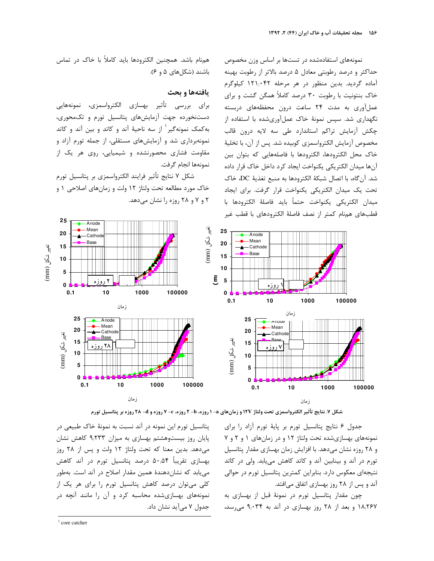نمونههای استفادهشده در تستها بر اساس وزن مخصوص حداکثر و درصد رطوبتی معادل ۵ درصد بالاتر از رطوبت بهینه آماده گردید. بدین منظور در هر مرحله ۱۲۱٬۰۴۲ کیلوگرم خاک بنتونیت با رطوبت ۳۰ درصد کاملاً همگن گشت و برای عملآوری به مدت ۲۴ ساعت درون محفظههای دربسته نگهداری شد. سپس نمونهٔ خاک عملآوریشده با استفاده از چکش آزمایش تراکم استاندارد طی سه لایه درون قالب مخصوص آزمايش الكترواسمزي كوبيده شد. يس از آن، با تخليهٔ خاک محل الکترودها، الکترودها با فاصلههایی که بتوان بین آنها ميدان الكتريكي يكنواخت ايجاد كرد داخل خاك قرار داده شد. آن گاه، با اتصال شبكهٔ الكترودها به منبع تغذيهٔ DC، خاک تحت یک میدان الکتریکی یکنواخت قرار گرفت. برای ایجاد ميدان الكتريكي يكنواخت حتماً بايد فاصلهٔ الكترودها با قطبهای همنام کمتر از نصف فاصلهٔ الکترودهای با قطب غیر



## يافتهها و بحث

برای بررسی تأثیر بهسازی الکترواسمزی، نمونههایی دستنخورده جهت آزمایشهای پتانسیل تورم و تکمحوری، به کمک نمونه گیر <sup>۱</sup> از سه ناحیهٔ آند و کاتد و بین آند و کاتد نمونهبرداری شد و آزمایشهای مستقلی، از جمله تورم آزاد و مقاومت فشاری محصورنشده و شیمیایی، روی هر یک از نمونهها انجام گرفت.

شكل ٧ نتايج تأثير فرايند الكترواسمزي بر پتانسيل تورم خاک مورد مطالعه تحت ولتاژ ۱۲ ولت و زمان های اصلاحی ۱ و ۲ و ۷ و ۲۸ روزه را نشان می دهد.



شکل ۷. نتایج تأثیر الکترواسمزی تحت ولتاژ ۱۲۷ و زمانهای a- ۱ روزه، b- ۲ روزه، C- ۷ روزه و a- ۲۸ روزه بر پتانسیل تورم

جدول ۶ نتایج پتانسیل تورم بر پایهٔ تورم آزاد را برای نمونههای بهسازیشده تحت ولتاژ ۱۲ و در زمانهای ۱ و ۲ و ۷ و ۲۸ روزه نشان میدهد. با افزایش زمان بهسازی مقدار پتانسیل تورم در آند و بینابین آند و کاتد کاهش می یابد. ولی در کاتد نتیجهای معکوس دارد. بنابراین کمترین پتانسیل تورم در حوالی آند و پس از ۲۸ روز بهسازی اتفاق می افتد.

چون مقدار پتانسیل تورم در نمونهٔ قبل از بهسازی به ۱۸٬۲۶۷ و بعد از ۲۸ روز بهسازی در آند به ۹٬۰۳۴ می رسد،

یتانسیل تورم این نمونه در آند نسبت به نمونهٔ خاک طبیعی در پایان روز بیستوهشتم بهسازی به میزان ۹٬۲۳۳ کاهش نشان می دهد. بدین معنا که تحت ولتاژ ۱۲ ولت و پس از ۲۸ روز بهسازی تقریباً ۵۰٬۵۴ درصد پتانسیل تورم در آند کاهش می یابد که نشان دهندهٔ همین مقدار اصلاح در آند است. بهطور کلی میتوان درصد کاهش پتانسیل تورم را برای هر یک از نمونههای بهسازیشده محاسبه کرد و آن را مانند آنچه در جدول ۷ میآید نشان داد.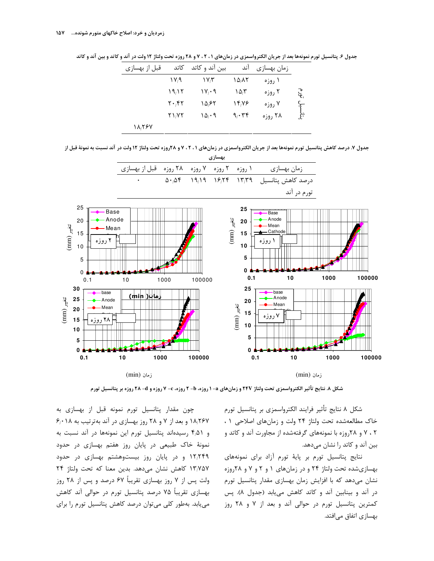جدول ۶. پتانسیل تورم نمونهها بعد از جریان الکترواسمزی در زمانهای ۲۰۱، ۷ و ۲۸ روزه تحت ولتاژ ۱۲ ولت در آند و کاتد و بین آند و کاتد

| قبل از بهسازی | كاتد                                       | بین آند و کاتد                    | اند                | زمان بهسازى |                              |
|---------------|--------------------------------------------|-----------------------------------|--------------------|-------------|------------------------------|
|               | ۱۷٬۹                                       | ۱۷٫۳                              | ۱۵٬۸۲              | ۱ روزه      |                              |
|               | ۱۹٬۱۲                                      | $\mathcal{W}_i \cdot \mathcal{A}$ | $\Delta \Lambda^*$ | ۲ روزه      | $\mathcal{E}_{\mathbf{e}_i}$ |
|               | $\mathbf{Y} \boldsymbol{\cdot} \mathbf{X}$ | ۱۵٬۶۲                             | 14,78              | ۷ روزه      |                              |
|               | ۲۱٬۷۲                                      | ۱۵٬۰۹                             | 9, 6.78            | ۲۸ روزه     | نتانسيل<br>سيل               |
| 11,787        |                                            |                                   |                    |             |                              |

جدول ۷. درصد کاهش پتانسیل تورم نمونهها بعد از جریان الکترواسمزی در زمانهای ۲۰۲۰ و ۲۸روزه تحت ولتاژ ۱۲ ولت در آند نسبت به نمونهٔ قبل از



شکل ۸. نتایج تأثیر الکترواسمزی تحت ولتاژ ۲۴۷ و زمانهای a- ۱ روزه، b- ۲ روزه، c- ۷ روزه و a- ۲۸ روزه بر پتانسیل تورم

شکل ۸ نتایج تأثیر فرایند الکترواسمزی بر پتانسیل تورم خاک مطالعهشده تحت ولتاژ ۲۴ ولت و زمانهای اصلاحی ۱ ، ۲ ، ۷ و ۲۸روزه با نمونههای گرفتهشده از مجاورت آند و کاتد و بین آند و کاتد را نشان میدهد.

نتایج پتانسیل تورم بر پایهٔ تورم آزاد برای نمونههای بهسازیشده تحت ولتاژ ۲۴ و در زمانهای ۱ و ۲ و ۷ و ۲۸روزه نشان میدهد که با افزایش زمان بهسازی مقدار پتانسیل تورم در آند و بینابین آند و کاتد کاهش می یابد (جدول ۸). پس کمترین پتانسپل تورم در حوالی آند و بعد از ۷ و ۲۸ روز بھسازی اتفاق میافتد.

چون مقدار پتانسیل تورم نمونه قبل از بهسازی به  $P_1 \cdot 1$ ۸ و بعد از ۷ و ۲۸ روز بهسازی در آند بهترتیب به ۶٫۰۱۸ و ۴٫۵۱ رسیدهاند پتانسیل تورم این نمونهها در آند نسبت به نمونهٔ خاک طبیعی در پایان روز هفتم بهسازی در حدود ١٢،٢۴٩ و در پایان روز بیستوهشتم بهسازی در حدود ١٣/٧۵٧ كاهش نشان مى دهد. بدين معنا كه تحت ولتاژ ٢۴ ولت پس از ۷ روز بهسازی تقریباً ۶۷ درصد و پس از ۲۸ روز بهسازی تقریباً ۷۵ درصد پتانسیل تورم در حوالی آند کاهش می یابد. بهطور کلی می توان درصد کاهش پتانسیل تورم را برای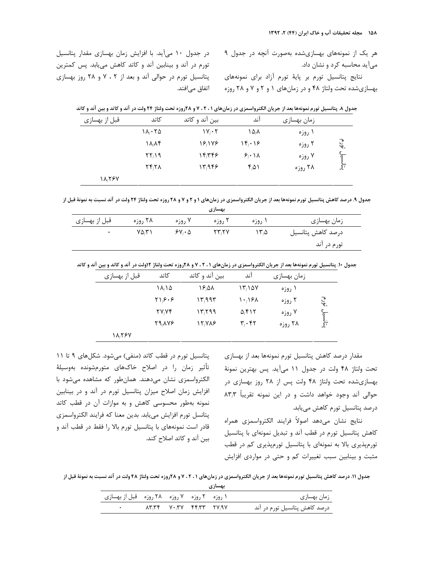هر یک از نمونههای بهسازیشده بهصورت آنچه در جدول ۹ میآید محاسبه کرد و نشان داد.

نتایج پتانسیل تورم بر پایهٔ تورم آزاد برای نمونههای بهسازیشده تحت ولتاژ ۴۸ و در زمانهای ۱ و ۲ و ۷ و ۲۸ روزه

در جدول ۱۰ میآید. با افزایش زمان بهسازی مقدار پتانسیل تورم در آند و بینابین آند و کاتد کاهش مییابد. پس کمترین پتانسیل تورم در حوالی آند و بعد از ۲ ، ۷ و ۲۸ روز بهسازی اتفاق میافتد.

| قبل از بهسازی | كاتد                       | بین آند و کاتد                    | آند                                | زمان بهسازی |                  |
|---------------|----------------------------|-----------------------------------|------------------------------------|-------------|------------------|
|               | $1\lambda_i \cdot 7\Delta$ | $\mathcal{W}_i \cdot \mathcal{Y}$ | ۱۵٬۸                               | ۱ روزه      |                  |
|               | ۱۸٬۸۴                      | 18/178                            | $\mathcal{N}(\cdot   \mathcal{S})$ | ۲ روزه      | <u>ુ</u><br>પશે. |
|               | $\mathcal{Y}\mathcal{Y}_1$ | ۱۴٫۳۴۶                            | $\mathcal{F}_{i}$ \ \ \            | ۷ روزه      |                  |
|               | $Yf_1Y\Lambda$             | 17.989                            | ۴۵۱                                | ۲۸ روزه     | ينانسيل<br>سيل   |
| 18,284        |                            |                                   |                                    |             |                  |

جدول ۸. پتانسیل تورم نمونهها بعد از جریان الکترواسمزی در زمانهای ۲۰۲۰ و ۲۸روزه تحت ولتاژ ۲۴ ولت در آند و کاتد و بین آند و کاتد

جدول ۹. درصد کاهش پتانسیل تورم نمونهها بعد از جریان الکترواسمزی در زمانهای ۱ و ۲ و ۷ و ۲۸ روزه تحت ولتاژ ۲۴ ولت در آند نسبت به نمونة قبل از

| بهسازي        |         |                   |       |        |                   |  |  |  |
|---------------|---------|-------------------|-------|--------|-------------------|--|--|--|
| قبل از بهسازی | ۲۸ روزه | ۷ روزه            | 0,9,5 | ۱ روزه | زمان بهسازی       |  |  |  |
|               | ۷۵٬۳۱   | $5Y \cdot \Delta$ | ۲۳،۲۷ | ۱۳۵    | درصد كاهش پتانسيل |  |  |  |
|               |         |                   |       |        | تورم در آند       |  |  |  |

جدول ۱۰. پتانسیل تورم نمونهها بعد از جریان الکترواسمزی در زمانهای ۲۰۲۰۱ و ۲۸روزه تحت ولتاژ ۱۲ولت در آند و کاتد و بین آند و کاتد

| قبل از بهسازی | كاتد         | بین آند و کاتد | اند                           | زمان بهسازی |                              |
|---------------|--------------|----------------|-------------------------------|-------------|------------------------------|
|               | ۱۸٬۱۵        | ۱۶٬۵۸          | $\Upsilon/2V$                 | ۱ روزه      |                              |
|               | ۲۱٬۶۰۶       | ۱۳٫۹۹۳         | ۱۰٬۱۶۸                        | ۲ روزه      | $\mathcal{E}_{\mathbf{e}_i}$ |
|               | <b>TV.VF</b> | ۱۳٫۲۹۹         | $\Delta_f$ FIT                | ۷ روزه      |                              |
|               | 29, XYS      | 12.788         | $\mathbf{r}_i\cdot\mathbf{r}$ | ۲۸ روزه     | يتانسيل                      |
| 18,787        |              |                |                               |             |                              |

مقدار درصد کاهش پتانسیل تورم نمونهها بعد از بهسازی تحت ولتاژ ۴۸ ولت در جدول ۱۱ میآید. پس بهترین نمونهٔ بهسازیشده تحت ولتاژ ۴۸ ولت پس از ۲۸ روز بهسازی در حوالی آند وجود خواهد داشت و در این نمونه تقریباً ٨٣٫٣ درصد پتانسیل تورم کاهش مییابد.

نتايج نشان مىدهد اصولاً فرايند الكترواسمزى همراه كاهش پتانسيل تورم در قطب آند و تبديل نمونهاى با پتانسيل تورمیذیری بالا به نمونهای با پتانسیل تورمیذیری کم در قطب مثبت و بینابین سبب تغییرات کم و حتی در مواردی افزایش

پتانسیل تورم در قطب کاتد (منفی) میشود. شکلهای ۹ تا ۱۱ تأثير زمان را در اصلاح خاكـهاى متورمشونده بهوسيلهٔ الکترواسمزی نشان میدهند. همانطور که مشاهده میشود با افزایش زمان اصلاح میزان پتانسیل تورم در آند و در بینابین نمونه بهطور محسوسی کاهش و به موازات آن در قطب کاتد پتانسل تورم افزايش مىيابد. بدين معنا كه فرايند الكترواسمزى قادر است نمونههای با پتانسیل تورم بالا را فقط در قطب آند و بین آند و کاتد اصلاح کند.

جدول ۱۱. درصد کاهش پتانسیل تورم نمونهها بعد از جریان الکترواسمزی در زمانهای ۲۰۲۰۱ و ۲۸روزه تحت ولتاژ ۴۸ ولت در آند نسبت به نمونهٔ قبل از

| بهسازي                                     |  |  |  |  |                               |  |  |  |  |
|--------------------------------------------|--|--|--|--|-------------------------------|--|--|--|--|
| ۱ روزه ۲ روزه ۷ روزه ۲۸ روزه قبل از بهسازی |  |  |  |  | زمان بهسازی                   |  |  |  |  |
|                                            |  |  |  |  | درصد کاهش پتانسیل تورم در آند |  |  |  |  |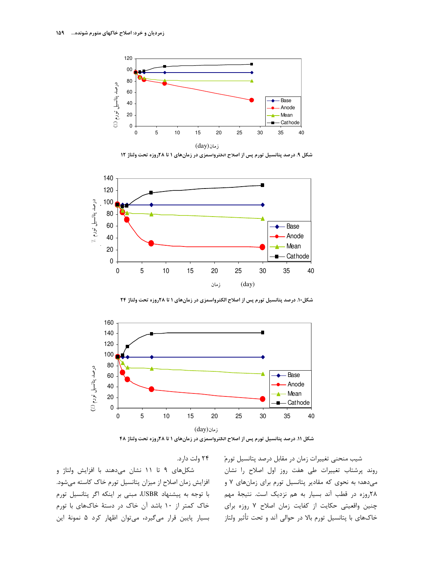

شکل ۹. درصد پتانسیل تورم پس از اصلاح الکترواسمزی در زمانهای ۱ تا ۲۸روزه تحت ولتاژ ۱۲



شکل۱۰. درصد پتانسیل تورم پس از اصلاح الکترواسمزی در زمانهای ۱ تا ۲۸روزه تحت ولتاژ ۲۴



شکل ۱۱. درصد پتانسیل تورم پس از اصلاح الکترواسمزی در زمانهای ۱ تا ۲۸روزه تحت ولتاژ ۴۸

۲۴ ولت دارد.

شکلهای ۹ تا ۱۱ نشان میدهند با افزایش ولتاژ و افزایش زمان اصلاح از میزان پتانسیل تورم خاک کاسته میشود. با توجه به پیشنهاد USBR، مبنی بر اینکه اگر پتانسیل تورم خاک کمتر از ۱۰ باشد آن خاک در دستهٔ خاکهای با تورم بسیار پایین قرار میگیرد، میتوان اظهار کرد ۵ نمونهٔ این

شیب منحنی تغییرات زمان در مقابل درصد پتانسیل تورمْ روند پرشتاب تغییرات طی هفت روز اول اصلاح را نشان میدهد؛ به نحوی که مقادیر پتانسیل تورم برای زمانهای ٧ و ۲۸روزه در قطب آند بسیار به هم نزدیک است. نتیجهٔ مهم چنین واقعیتی حکایت از کفایت زمان اصلاح ۷ روزه برای خاکهای با پتانسیل تورم بالا در حوالی آند و تحت تأثیر ولتاز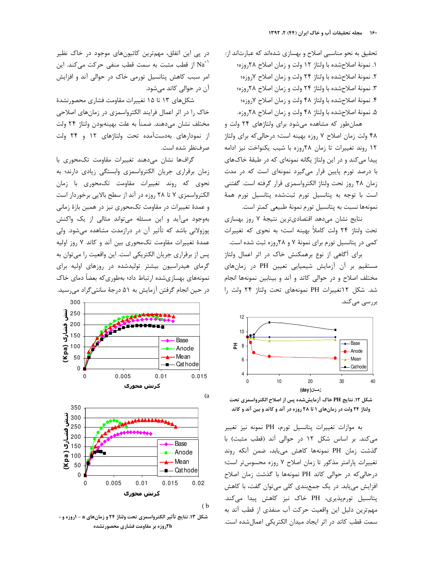تحقیق به نحو مناسبی اصلاح و بهسازی شدهاند که عبارتاند از: ١. نمونهٔ اصلاحِشده با ولتاژ ١٢ ولت و زمان اصلاح ٢٨روزه؛ ۲. نمونهٔ اصلاحشده با ولتاژ ۲۴ ولت و زمان اصلاح ۷روزه؛ ۳. نمونهٔ اصلاحشده با ولتاژ ۲۴ ولت و زمان اصلاح ۲۸روزه؛ ۴. نمونهٔ اصلاحشده با ولتاژ ۴۸ ولت و زمان اصلاح ۷روزه؛ ۵. نمونهٔ اصلاحشده با ولتاژ ۴۸ ولت و زمان اصلاح ۲۸روزه.

همانطور که مشاهده میشود برای ولتاژهای ۲۴ ولت و ۴۸ ولت زمان اصلاح ۷ روزه بهينه است؛ درحالي كه براي ولتاژ ١٢ روند تغييرات تا زمان ٢٨روزه با شيب يكنواخت نيز ادامه پیدا می کند و در این ولتاژ یگانه نمونهای که در طبقهٔ خاکهای با درصد تورم پایین قرار میگیرد نمونهای است که در مدت زمان ٢٨ روز تحت ولتاژ الكترواسمزى قرار گرفته است. گفتنى است با توجه به پتانسیل تورم ثبتشده پتانسیل تورم همهٔ نمونهها نسبت به پتانسیل تورم نمونهٔ طبیعی کمتر است.

نتايج نشان مى دهد اقتصادى ترين نتيجة ٧ روز بهسازى تحت ولتاژ ۲۴ ولت کاملاً بهینه است؛ به نحوی که تغییرات کمی در پتانسیل تورم برای نمونهٔ ۷ و ۲۸روزه ثبت شده است.

برای آگاهی از نوع برهمکنش خاک در اثر اعمال ولتاژ مستقیم بر آن آزمایش شیمیایی تعیین PH در زمانهای مختلف اصلاح و در حوالی کاتد و آند و بینابین نمونهها انجام شد. شکل ۱۲تغییرات PH نمونههای تحت ولتاژ ۲۴ ولت را بررسی میکند.



شكل ١٢. نتايج PH خاك آزمايششده پس از اصلاح الكترواسمزي تحت ولتاژ ۲۴ ولت در زمانهای ۱ تا ۲۸ روزه در آند و کاتد و بین آند و کاتد

به موازات تغییرات پتانسیل تورم، PH نمونه نیز تغییر می کند. بر اساس شکل ۱۲ در حوالی آند (قطب مثبت) با گذشت زمان PH نمونهها كاهش مى يابد، ضمن آنكه روند تغییرات پارامتر مذکور تا زمان اصلاح ۷ روزه محسوستر است؛ درحالی که در حوالی کاتد PH نمونهها با گذشت زمان اصلاح افزایش می یابد. در یک جمعبندی کلی میتوان گفت، با کاهش یتانسیل تورمیذیری، PH خاک نیز کاهش پیدا میکند. مهم ترين دليل اين واقعيت حركت آب منفذى از قطب آند به سمت قطب كاتد در اثر ايجاد ميدان الكتريكي اعمال شده است.

در پی این اتفاق، مهمترین کاتیونهای موجود در خاک نظیر از قطب مثبت به سمت قطب منفی حرکت میکند. این Na $^{\text{+}}$ امر سبب کاهش پتانسیل تورمی خاک در حوالی آند و افزایش آن در حوالی کاتد می شود.

شکلهای ۱۳ تا ۱۵ تغییرات مقاومت فشاری محصورنشدهٔ خاک را در اثر اعمال فرایند الکترواسمزی در زمانهای اصلاحی مختلف نشان مىدهند. ضمناً به علت بهينهبودن ولتاژ ٢۴ ولت از نمودارهای بهدستآمده تحت ولتاژهای ۱۲ و ۲۴ ولت صرفنظر شده است.

گرافها نشان می دهند تغییرات مقاومت تکمحوری با زمان برقراری جریان الکترواسمزی وابستگی زیادی دارند؛ به نحوی که روند تغییرات مقاومت تکمحوری با زمان الكترواسمزي ٧ تا ٢٨ روزه در آند از سطح بالايي برخوردار است و عمدهٔ تغییرات در مقاومت تکمحوری نیز در همین بازهٔ زمانی بهوجود میآید و این مسئله میتواند مثالی از یک واکنش پوزولانی باشد که تأثیر آن در درازمدت مشاهده می شود. ولی عمدهٔ تغییرات مقاومت تکمحوری بین آند و کاتد ۷ روز اولیه یس از برقراری جریان الکتریکی است. این واقعیت را می توان به گرمای هیدراسیون بیشتر تولیدشده در روزهای اولیه برای نمونههای بهسازیشده ارتباط داد؛ بهطوری که بعضاً دمای خاک در حین انجام گرفتن آزمایش به ۵۱ درجهٔ سانتی گراد می رسید.



شكل ١٣. نتايج تأثير الكترواسمزي تحت ولتاژ ٢٤ و زمانهاي a - اروزه و -**۲bروزه بر مقاومت فشاری محصورنشده**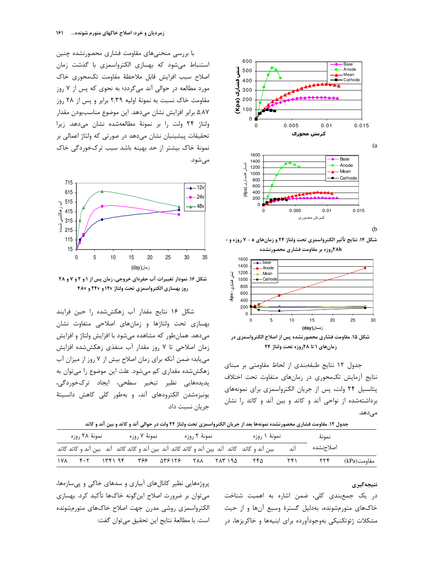



شکل ۱۶. نمودار تغییرات آب حفرهای خروجی، زمان پس از ۱ و ۲ و ۷ و ۲۸ روز بهسازی الکترواسمزی تحت ولتاژ ۱۲۷ و ۲۴۷ و ۴۸۷

شكل ۱۶ نتايج مقدار آب زهكش شده را حين فرايند بهسازی تحت ولتاژها و زمانهای اصلاحی متفاوت نشان می دهد. همان طور که مشاهده می شود با افزایش ولتاژ و افزایش زمان اصلاحی تا ۷ روز مقدار آب منفذی زهکش شده افزایش می یابد؛ ضمن آنکه برای زمان اصلاح بیش از ۷ روز از میزان آب زهکششده مقداری کم میشود. علت این موضوع را میتوان به یدیدہھایے نظیر تبخیر سطحی، ایجاد ترکخوردگے، یونیزهشدن الکترودهای آند، و بهطور کلی کاهش دانسیتهٔ جريان نسبت داد.

|  |  |  |  |  |  | <b>عدول ۱۲. مقاومت فشاری محصورنشده نمونهها بعد از جریان الکترواسمزی تحت ولتاژ ۲۴ ولت در حوالی آند و کاتد و بین آند و کاتد</b> |  |  |  |  |  |
|--|--|--|--|--|--|-------------------------------------------------------------------------------------------------------------------------------|--|--|--|--|--|
|--|--|--|--|--|--|-------------------------------------------------------------------------------------------------------------------------------|--|--|--|--|--|

|     | نمونهٔ ۲۸ روزه |  | نمونهٔ ۷ ٫وزه |        | نمونهٔ ۲ روزه |         | نمونهٔ ۱ روزه                                                                               |     | نمونة     |             |
|-----|----------------|--|---------------|--------|---------------|---------|---------------------------------------------------------------------------------------------|-----|-----------|-------------|
|     |                |  |               |        |               |         | بین آند و کاتد کاتد آند بین آند و کاتد کاتد آند بین آند و کاتد کاتد آند بین آند و کاتد کاتد | اند | اصلاحنشده |             |
| ۱۷۸ | ۴۰۲            |  | ۳۶۶           | 578178 | ۲۸۸           | ۱۹۵ ۱۸۳ | ۲۴۵                                                                                         |     |           | مقاومت(kPa) |

#### نتيجەگيرى

در یک جمعبندی کلی، ضمن اشاره به اهمیت شناخت خاکهای متورمشونده، بهدلیل گسترهٔ وسیع آنها و از حیث مشکلات ژئوتکنیکی بهوجودآورده برای ابنیهها و خاکریزها، در

پروژههایی نظیر کانالهای آبیاری و سدهای خاکی و پی سازهها، می توان بر ضرورت اصلاح این گونه خاکها تأکید کرد. بهسازی الكترواسمزي روشى مدرن جهت اصلاح خاكهاى متورمشونده است. با مطالعهٔ نتایج این تحقیق می توان گفت:



 $(b)$ 

شكل ١٤. نتايج تأثير الكترواسمزي تحت ولتاژ ٢٤ و زمانهاي a - ٧ روزه و -**۲۸bروزه بر مقاومت فشاری محصورنشده** 





جدول ١٢ نتايج طبقهبندي از لحاظ مقاومتي بر مبناي نتایج آزمایش تکمحوری در زمانهای متفاوت تحت اختلاف پتانسیل ۲۴ ولت، پس از جریان الکترواسمزی برای نمونههای برداشتهشده از نواحی آند و کاتد و بین آند و کاتد را نشان مے ٖدھد.